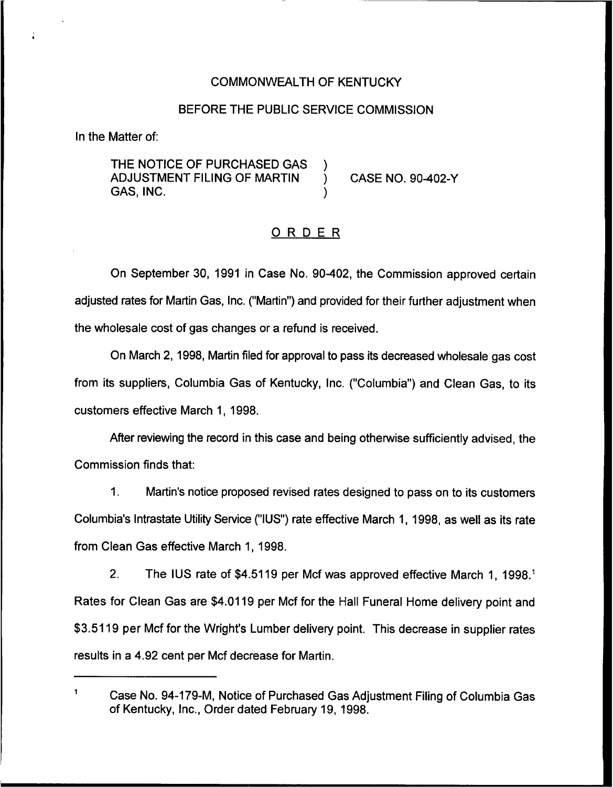## COMMONWEALTH OF KENTUCKY

### BEFORE THE PUBLIC SERVICE COMMISSION

In the Matter of:

THE NOTICE OF PURCHASED GAS )<br>ADJUSTMENT FILING OF MARTIN ADJUSTMENT FILING OF MARTIN ) CASE NO. 90-402-Y GAS, INC. )

### ORDER

On September 30, 1991 in Case No. 90402, the Commission approved certain adjusted rates for Martin Gas, Inc. ("Martin") and provided for their further adjustment when the wholesale cost of gas changes or a refund is received.

On March 2, 1998, Martin filed for approval to pass its decreased wholesale gas cost from its suppliers, Columbia Gas of Kentucky, Inc. ("Columbia") and Clean Gas, to its customers effective March 1, 1998.

After reviewing the record in this case and being otherwise sufficiently advised, the Commission finds that.:

1. Martin's notice proposed revised rates designed to pass on to its customers Columbia's Intrastate Utility Service ("IUS") rate effective March 1, 1998, as well as its rate from Clean Gas effective March 1, 1998.

2. The IUS rate of \$4.5119 per Mcf was approved effective March 1, 1998.<sup>1</sup> Rates for Clean Gas are \$4.0119 per Mcf for the Hall Funeral Home delivery point and \$3.5119 per Mcf for the Wright's Lumber delivery point. This decrease in supplier rates results in a 4.92 cent per Mcf decrease for Martin.

 $\mathbf{1}$ Case No. 94-179-M, Notice of Purchased Gas Adjustment Filing of Columbia Gas of Kentucky, Inc., Order dated February 19, 1998.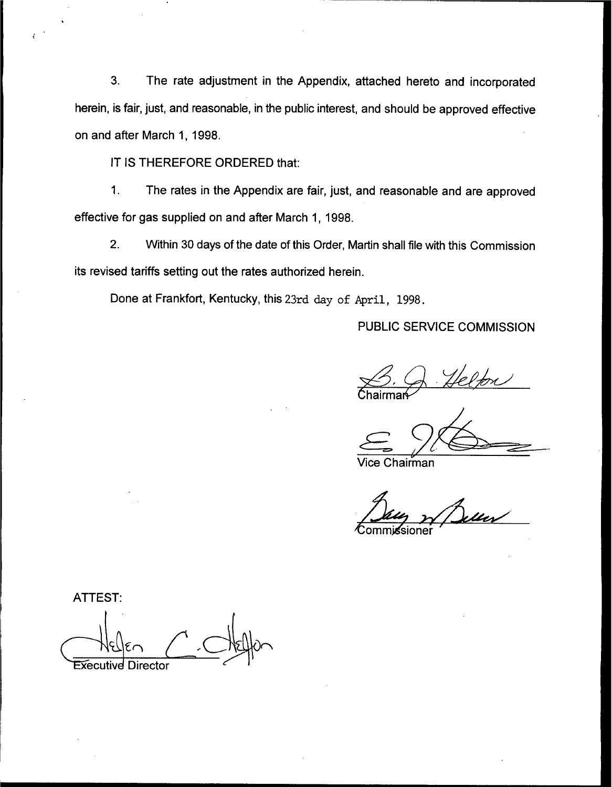3. The rate adjustment in the Appendix, attached hereto and incorporated herein, is fair, just, and reasonable, in the public interest, and should be approved effective on and after March 1, 1998.

IT IS THEREFORE ORDERED that:

1. The rates in the Appendix are fair, just, and reasonable and are approved effective for gas supplied on and after March 1, 1998.

2. Within 30 days of the date of this Order, Martin shall file with this Commission its revised tariffs setting out the rates authorized herein.

Done at Frankfort, Kentucky, this 23rd day of April, 1998.

PUBLIC SERVICE COMMISSION

Chairmar<mark></mark>⊱

Chairman

**commissioner** 

**ATTEST: Executive Director**